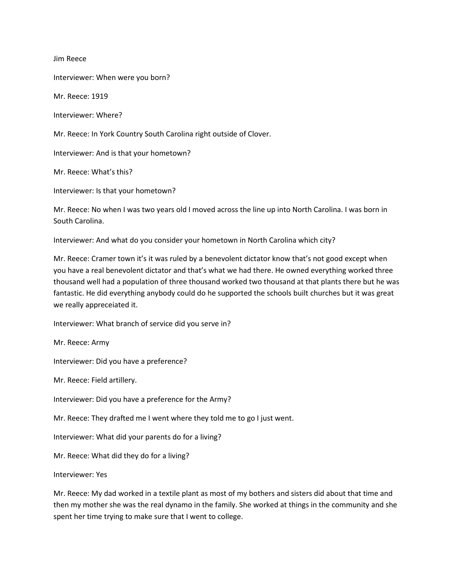Jim Reece

Interviewer: When were you born?

Mr. Reece: 1919

Interviewer: Where?

Mr. Reece: In York Country South Carolina right outside of Clover.

Interviewer: And is that your hometown?

Mr. Reece: What's this?

Interviewer: Is that your hometown?

Mr. Reece: No when I was two years old I moved across the line up into North Carolina. I was born in South Carolina.

Interviewer: And what do you consider your hometown in North Carolina which city?

Mr. Reece: Cramer town it's it was ruled by a benevolent dictator know that's not good except when you have a real benevolent dictator and that's what we had there. He owned everything worked three thousand well had a population of three thousand worked two thousand at that plants there but he was fantastic. He did everything anybody could do he supported the schools built churches but it was great we really appreceiated it.

Interviewer: What branch of service did you serve in?

Mr. Reece: Army

Interviewer: Did you have a preference?

Mr. Reece: Field artillery.

Interviewer: Did you have a preference for the Army?

Mr. Reece: They drafted me I went where they told me to go I just went.

Interviewer: What did your parents do for a living?

Mr. Reece: What did they do for a living?

Interviewer: Yes

Mr. Reece: My dad worked in a textile plant as most of my bothers and sisters did about that time and then my mother she was the real dynamo in the family. She worked at things in the community and she spent her time trying to make sure that I went to college.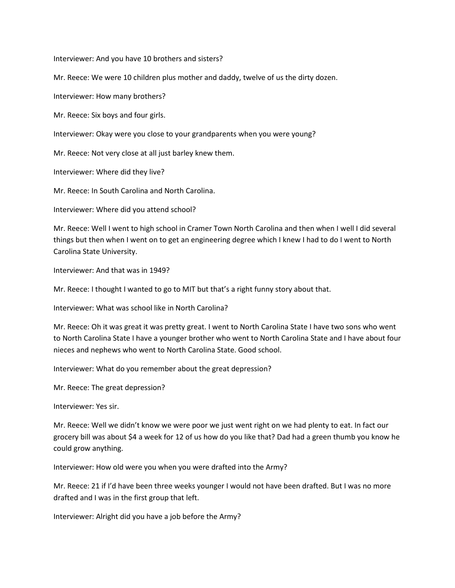Interviewer: And you have 10 brothers and sisters?

Mr. Reece: We were 10 children plus mother and daddy, twelve of us the dirty dozen.

Interviewer: How many brothers?

Mr. Reece: Six boys and four girls.

Interviewer: Okay were you close to your grandparents when you were young?

Mr. Reece: Not very close at all just barley knew them.

Interviewer: Where did they live?

Mr. Reece: In South Carolina and North Carolina.

Interviewer: Where did you attend school?

Mr. Reece: Well I went to high school in Cramer Town North Carolina and then when I well I did several things but then when I went on to get an engineering degree which I knew I had to do I went to North Carolina State University.

Interviewer: And that was in 1949?

Mr. Reece: I thought I wanted to go to MIT but that's a right funny story about that.

Interviewer: What was school like in North Carolina?

Mr. Reece: Oh it was great it was pretty great. I went to North Carolina State I have two sons who went to North Carolina State I have a younger brother who went to North Carolina State and I have about four nieces and nephews who went to North Carolina State. Good school.

Interviewer: What do you remember about the great depression?

Mr. Reece: The great depression?

Interviewer: Yes sir.

Mr. Reece: Well we didn't know we were poor we just went right on we had plenty to eat. In fact our grocery bill was about \$4 a week for 12 of us how do you like that? Dad had a green thumb you know he could grow anything.

Interviewer: How old were you when you were drafted into the Army?

Mr. Reece: 21 if I'd have been three weeks younger I would not have been drafted. But I was no more drafted and I was in the first group that left.

Interviewer: Alright did you have a job before the Army?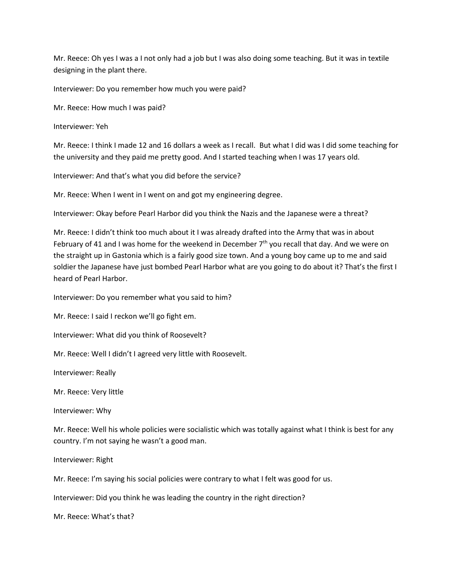Mr. Reece: Oh yes I was a I not only had a job but I was also doing some teaching. But it was in textile designing in the plant there.

Interviewer: Do you remember how much you were paid?

Mr. Reece: How much I was paid?

Interviewer: Yeh

Mr. Reece: I think I made 12 and 16 dollars a week as I recall. But what I did was I did some teaching for the university and they paid me pretty good. And I started teaching when I was 17 years old.

Interviewer: And that's what you did before the service?

Mr. Reece: When I went in I went on and got my engineering degree.

Interviewer: Okay before Pearl Harbor did you think the Nazis and the Japanese were a threat?

Mr. Reece: I didn't think too much about it I was already drafted into the Army that was in about February of 41 and I was home for the weekend in December  $7<sup>th</sup>$  you recall that day. And we were on the straight up in Gastonia which is a fairly good size town. And a young boy came up to me and said soldier the Japanese have just bombed Pearl Harbor what are you going to do about it? That's the first I heard of Pearl Harbor.

Interviewer: Do you remember what you said to him?

Mr. Reece: I said I reckon we'll go fight em.

Interviewer: What did you think of Roosevelt?

Mr. Reece: Well I didn't I agreed very little with Roosevelt.

Interviewer: Really

Mr. Reece: Very little

Interviewer: Why

Mr. Reece: Well his whole policies were socialistic which was totally against what I think is best for any country. I'm not saying he wasn't a good man.

Interviewer: Right

Mr. Reece: I'm saying his social policies were contrary to what I felt was good for us.

Interviewer: Did you think he was leading the country in the right direction?

Mr. Reece: What's that?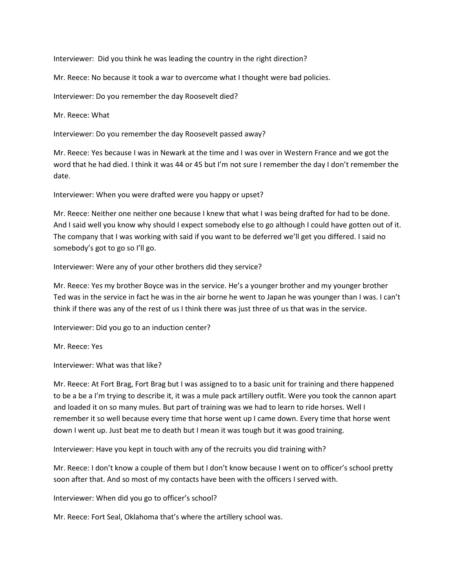Interviewer: Did you think he was leading the country in the right direction?

Mr. Reece: No because it took a war to overcome what I thought were bad policies.

Interviewer: Do you remember the day Roosevelt died?

Mr. Reece: What

Interviewer: Do you remember the day Roosevelt passed away?

Mr. Reece: Yes because I was in Newark at the time and I was over in Western France and we got the word that he had died. I think it was 44 or 45 but I'm not sure I remember the day I don't remember the date.

Interviewer: When you were drafted were you happy or upset?

Mr. Reece: Neither one neither one because I knew that what I was being drafted for had to be done. And I said well you know why should I expect somebody else to go although I could have gotten out of it. The company that I was working with said if you want to be deferred we'll get you differed. I said no somebody's got to go so I'll go.

Interviewer: Were any of your other brothers did they service?

Mr. Reece: Yes my brother Boyce was in the service. He's a younger brother and my younger brother Ted was in the service in fact he was in the air borne he went to Japan he was younger than I was. I can't think if there was any of the rest of us I think there was just three of us that was in the service.

Interviewer: Did you go to an induction center?

Mr. Reece: Yes

Interviewer: What was that like?

Mr. Reece: At Fort Brag, Fort Brag but I was assigned to to a basic unit for training and there happened to be a be a I'm trying to describe it, it was a mule pack artillery outfit. Were you took the cannon apart and loaded it on so many mules. But part of training was we had to learn to ride horses. Well I remember it so well because every time that horse went up I came down. Every time that horse went down I went up. Just beat me to death but I mean it was tough but it was good training.

Interviewer: Have you kept in touch with any of the recruits you did training with?

Mr. Reece: I don't know a couple of them but I don't know because I went on to officer's school pretty soon after that. And so most of my contacts have been with the officers I served with.

Interviewer: When did you go to officer's school?

Mr. Reece: Fort Seal, Oklahoma that's where the artillery school was.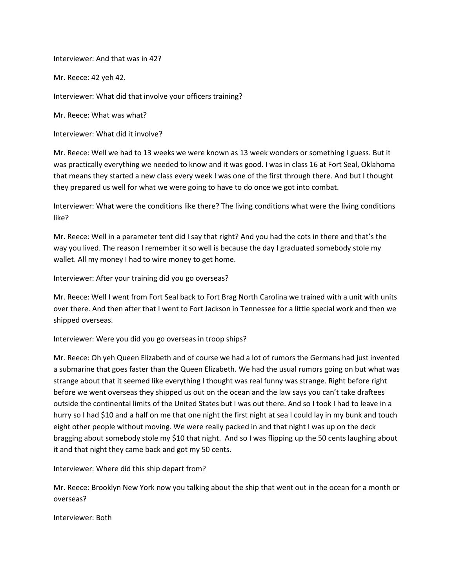Interviewer: And that was in 42?

Mr. Reece: 42 yeh 42.

Interviewer: What did that involve your officers training?

Mr. Reece: What was what?

Interviewer: What did it involve?

Mr. Reece: Well we had to 13 weeks we were known as 13 week wonders or something I guess. But it was practically everything we needed to know and it was good. I was in class 16 at Fort Seal, Oklahoma that means they started a new class every week I was one of the first through there. And but I thought they prepared us well for what we were going to have to do once we got into combat.

Interviewer: What were the conditions like there? The living conditions what were the living conditions like?

Mr. Reece: Well in a parameter tent did I say that right? And you had the cots in there and that's the way you lived. The reason I remember it so well is because the day I graduated somebody stole my wallet. All my money I had to wire money to get home.

Interviewer: After your training did you go overseas?

Mr. Reece: Well I went from Fort Seal back to Fort Brag North Carolina we trained with a unit with units over there. And then after that I went to Fort Jackson in Tennessee for a little special work and then we shipped overseas.

Interviewer: Were you did you go overseas in troop ships?

Mr. Reece: Oh yeh Queen Elizabeth and of course we had a lot of rumors the Germans had just invented a submarine that goes faster than the Queen Elizabeth. We had the usual rumors going on but what was strange about that it seemed like everything I thought was real funny was strange. Right before right before we went overseas they shipped us out on the ocean and the law says you can't take draftees outside the continental limits of the United States but I was out there. And so I took I had to leave in a hurry so I had \$10 and a half on me that one night the first night at sea I could lay in my bunk and touch eight other people without moving. We were really packed in and that night I was up on the deck bragging about somebody stole my \$10 that night. And so I was flipping up the 50 cents laughing about it and that night they came back and got my 50 cents.

Interviewer: Where did this ship depart from?

Mr. Reece: Brooklyn New York now you talking about the ship that went out in the ocean for a month or overseas?

Interviewer: Both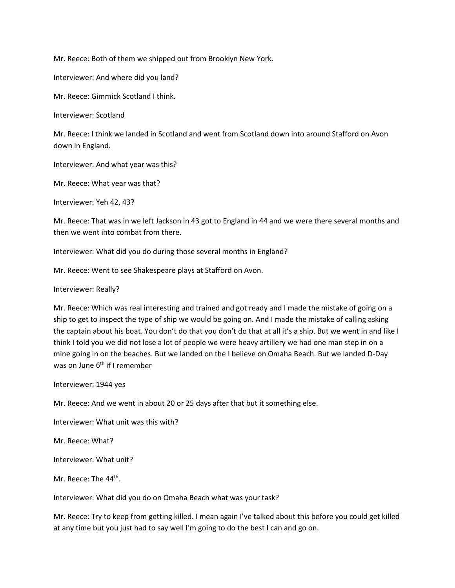Mr. Reece: Both of them we shipped out from Brooklyn New York.

Interviewer: And where did you land?

Mr. Reece: Gimmick Scotland I think.

Interviewer: Scotland

Mr. Reece: I think we landed in Scotland and went from Scotland down into around Stafford on Avon down in England.

Interviewer: And what year was this?

Mr. Reece: What year was that?

Interviewer: Yeh 42, 43?

Mr. Reece: That was in we left Jackson in 43 got to England in 44 and we were there several months and then we went into combat from there.

Interviewer: What did you do during those several months in England?

Mr. Reece: Went to see Shakespeare plays at Stafford on Avon.

Interviewer: Really?

Mr. Reece: Which was real interesting and trained and got ready and I made the mistake of going on a ship to get to inspect the type of ship we would be going on. And I made the mistake of calling asking the captain about his boat. You don't do that you don't do that at all it's a ship. But we went in and like I think I told you we did not lose a lot of people we were heavy artillery we had one man step in on a mine going in on the beaches. But we landed on the I believe on Omaha Beach. But we landed D-Day was on June 6<sup>th</sup> if I remember

Interviewer: 1944 yes

Mr. Reece: And we went in about 20 or 25 days after that but it something else.

Interviewer: What unit was this with?

Mr. Reece: What?

Interviewer: What unit?

Mr. Reece: The 44<sup>th</sup>.

Interviewer: What did you do on Omaha Beach what was your task?

Mr. Reece: Try to keep from getting killed. I mean again I've talked about this before you could get killed at any time but you just had to say well I'm going to do the best I can and go on.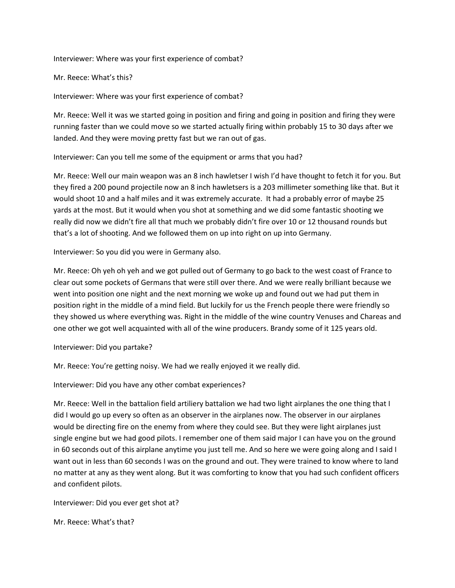Interviewer: Where was your first experience of combat?

Mr. Reece: What's this?

Interviewer: Where was your first experience of combat?

Mr. Reece: Well it was we started going in position and firing and going in position and firing they were running faster than we could move so we started actually firing within probably 15 to 30 days after we landed. And they were moving pretty fast but we ran out of gas.

Interviewer: Can you tell me some of the equipment or arms that you had?

Mr. Reece: Well our main weapon was an 8 inch hawletser I wish I'd have thought to fetch it for you. But they fired a 200 pound projectile now an 8 inch hawletsers is a 203 millimeter something like that. But it would shoot 10 and a half miles and it was extremely accurate. It had a probably error of maybe 25 yards at the most. But it would when you shot at something and we did some fantastic shooting we really did now we didn't fire all that much we probably didn't fire over 10 or 12 thousand rounds but that's a lot of shooting. And we followed them on up into right on up into Germany.

Interviewer: So you did you were in Germany also.

Mr. Reece: Oh yeh oh yeh and we got pulled out of Germany to go back to the west coast of France to clear out some pockets of Germans that were still over there. And we were really brilliant because we went into position one night and the next morning we woke up and found out we had put them in position right in the middle of a mind field. But luckily for us the French people there were friendly so they showed us where everything was. Right in the middle of the wine country Venuses and Chareas and one other we got well acquainted with all of the wine producers. Brandy some of it 125 years old.

Interviewer: Did you partake?

Mr. Reece: You're getting noisy. We had we really enjoyed it we really did.

Interviewer: Did you have any other combat experiences?

Mr. Reece: Well in the battalion field artiliery battalion we had two light airplanes the one thing that I did I would go up every so often as an observer in the airplanes now. The observer in our airplanes would be directing fire on the enemy from where they could see. But they were light airplanes just single engine but we had good pilots. I remember one of them said major I can have you on the ground in 60 seconds out of this airplane anytime you just tell me. And so here we were going along and I said I want out in less than 60 seconds I was on the ground and out. They were trained to know where to land no matter at any as they went along. But it was comforting to know that you had such confident officers and confident pilots.

Interviewer: Did you ever get shot at?

Mr. Reece: What's that?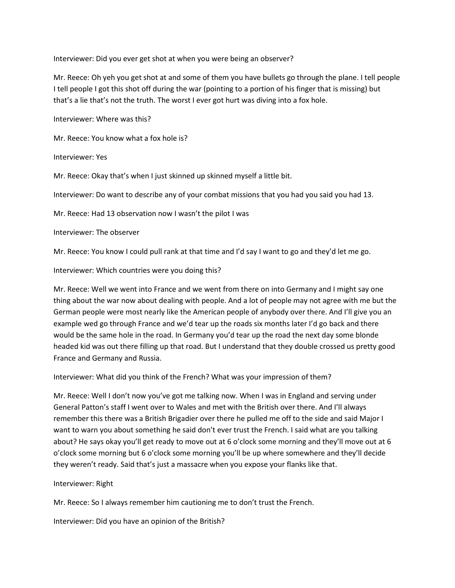Interviewer: Did you ever get shot at when you were being an observer?

Mr. Reece: Oh yeh you get shot at and some of them you have bullets go through the plane. I tell people I tell people I got this shot off during the war (pointing to a portion of his finger that is missing) but that's a lie that's not the truth. The worst I ever got hurt was diving into a fox hole.

Interviewer: Where was this?

Mr. Reece: You know what a fox hole is?

Interviewer: Yes

Mr. Reece: Okay that's when I just skinned up skinned myself a little bit.

Interviewer: Do want to describe any of your combat missions that you had you said you had 13.

Mr. Reece: Had 13 observation now I wasn't the pilot I was

Interviewer: The observer

Mr. Reece: You know I could pull rank at that time and I'd say I want to go and they'd let me go.

Interviewer: Which countries were you doing this?

Mr. Reece: Well we went into France and we went from there on into Germany and I might say one thing about the war now about dealing with people. And a lot of people may not agree with me but the German people were most nearly like the American people of anybody over there. And I'll give you an example wed go through France and we'd tear up the roads six months later I'd go back and there would be the same hole in the road. In Germany you'd tear up the road the next day some blonde headed kid was out there filling up that road. But I understand that they double crossed us pretty good France and Germany and Russia.

Interviewer: What did you think of the French? What was your impression of them?

Mr. Reece: Well I don't now you've got me talking now. When I was in England and serving under General Patton's staff I went over to Wales and met with the British over there. And I'll always remember this there was a British Brigadier over there he pulled me off to the side and said Major I want to warn you about something he said don't ever trust the French. I said what are you talking about? He says okay you'll get ready to move out at 6 o'clock some morning and they'll move out at 6 o'clock some morning but 6 o'clock some morning you'll be up where somewhere and they'll decide they weren't ready. Said that's just a massacre when you expose your flanks like that.

Interviewer: Right

Mr. Reece: So I always remember him cautioning me to don't trust the French.

Interviewer: Did you have an opinion of the British?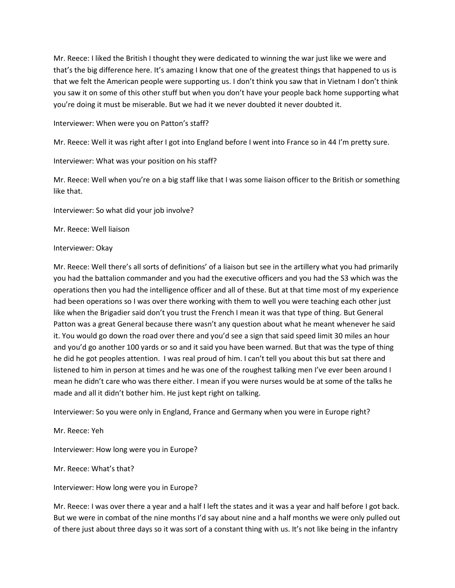Mr. Reece: I liked the British I thought they were dedicated to winning the war just like we were and that's the big difference here. It's amazing I know that one of the greatest things that happened to us is that we felt the American people were supporting us. I don't think you saw that in Vietnam I don't think you saw it on some of this other stuff but when you don't have your people back home supporting what you're doing it must be miserable. But we had it we never doubted it never doubted it.

Interviewer: When were you on Patton's staff?

Mr. Reece: Well it was right after I got into England before I went into France so in 44 I'm pretty sure.

Interviewer: What was your position on his staff?

Mr. Reece: Well when you're on a big staff like that I was some liaison officer to the British or something like that.

Interviewer: So what did your job involve?

Mr. Reece: Well liaison

Interviewer: Okay

Mr. Reece: Well there's all sorts of definitions' of a liaison but see in the artillery what you had primarily you had the battalion commander and you had the executive officers and you had the S3 which was the operations then you had the intelligence officer and all of these. But at that time most of my experience had been operations so I was over there working with them to well you were teaching each other just like when the Brigadier said don't you trust the French I mean it was that type of thing. But General Patton was a great General because there wasn't any question about what he meant whenever he said it. You would go down the road over there and you'd see a sign that said speed limit 30 miles an hour and you'd go another 100 yards or so and it said you have been warned. But that was the type of thing he did he got peoples attention. I was real proud of him. I can't tell you about this but sat there and listened to him in person at times and he was one of the roughest talking men I've ever been around I mean he didn't care who was there either. I mean if you were nurses would be at some of the talks he made and all it didn't bother him. He just kept right on talking.

Interviewer: So you were only in England, France and Germany when you were in Europe right?

Mr. Reece: Yeh

Interviewer: How long were you in Europe?

Mr. Reece: What's that?

Interviewer: How long were you in Europe?

Mr. Reece: I was over there a year and a half I left the states and it was a year and half before I got back. But we were in combat of the nine months I'd say about nine and a half months we were only pulled out of there just about three days so it was sort of a constant thing with us. It's not like being in the infantry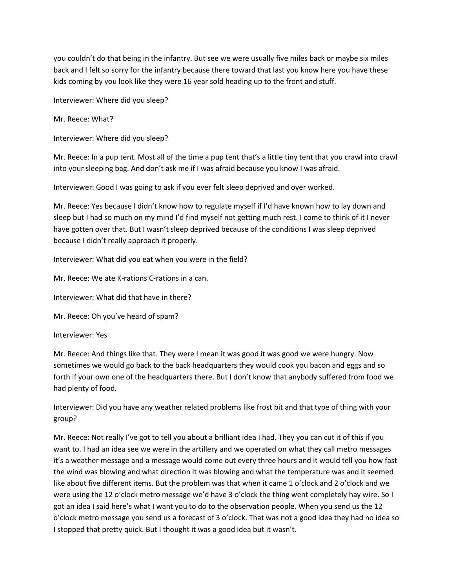you couldn't do that being in the infantry. But see we were usually five miles back or maybe six miles back and I felt so sorry for the infantry because there toward that last you know here you have these kids coming by you look like they were 16 year sold heading up to the front and stuff.

Interviewer: Where did you sleep?

Mr. Reece: What?

Interviewer: Where did you sleep?

Mr. Reece: In a pup tent. Most all of the time a pup tent that's a little tiny tent that you crawl into crawl into your sleeping bag. And don't ask me if I was afraid because you know I was afraid.

Interviewer: Good I was going to ask if you ever felt sleep deprived and over worked.

Mr. Reece: Yes because I didn't know how to regulate myself if I'd have known how to lay down and sleep but I had so much on my mind I'd find myself not getting much rest. I come to think of it I never have gotten over that. But I wasn't sleep deprived because of the conditions I was sleep deprived because I didn't really approach it properly.

Interviewer: What did you eat when you were in the field?

Mr. Reece: We ate K-rations C-rations in a can.

Interviewer: What did that have in there?

Mr. Reece: Oh you've heard of spam?

Interviewer: Yes

Mr. Reece: And things like that. They were I mean it was good it was good we were hungry. Now sometimes we would go back to the back headquarters they would cook you bacon and eggs and so forth if your own one of the headquarters there. But I don't know that anybody suffered from food we had plenty of food.

Interviewer: Did you have any weather related problems like frost bit and that type of thing with your group?

Mr. Reece: Not really I've got to tell you about a brilliant idea I had. They you can cut it of this if you want to. I had an idea see we were in the artillery and we operated on what they call metro messages it's a weather message and a message would come out every three hours and it would tell you how fast the wind was blowing and what direction it was blowing and what the temperature was and it seemed like about five different items. But the problem was that when it came 1 o'clock and 2 o'clock and we were using the 12 o'clock metro message we'd have 3 o'clock the thing went completely hay wire. So I got an idea I said here's what I want you to do to the observation people. When you send us the 12 o'clock metro message you send us a forecast of 3 o'clock. That was not a good idea they had no idea so I stopped that pretty quick. But I thought it was a good idea but it wasn't.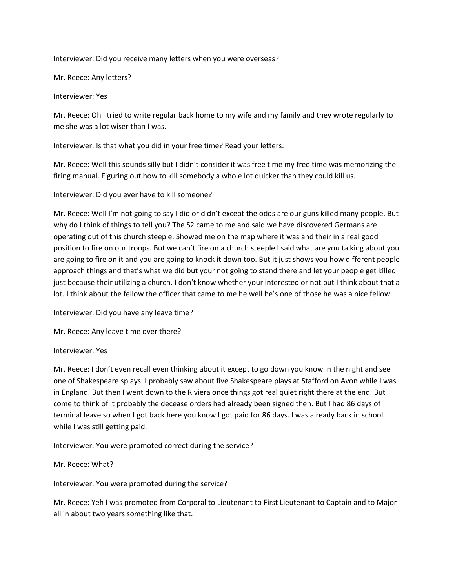Interviewer: Did you receive many letters when you were overseas?

Mr. Reece: Any letters?

Interviewer: Yes

Mr. Reece: Oh I tried to write regular back home to my wife and my family and they wrote regularly to me she was a lot wiser than I was.

Interviewer: Is that what you did in your free time? Read your letters.

Mr. Reece: Well this sounds silly but I didn't consider it was free time my free time was memorizing the firing manual. Figuring out how to kill somebody a whole lot quicker than they could kill us.

Interviewer: Did you ever have to kill someone?

Mr. Reece: Well I'm not going to say I did or didn't except the odds are our guns killed many people. But why do I think of things to tell you? The S2 came to me and said we have discovered Germans are operating out of this church steeple. Showed me on the map where it was and their in a real good position to fire on our troops. But we can't fire on a church steeple I said what are you talking about you are going to fire on it and you are going to knock it down too. But it just shows you how different people approach things and that's what we did but your not going to stand there and let your people get killed just because their utilizing a church. I don't know whether your interested or not but I think about that a lot. I think about the fellow the officer that came to me he well he's one of those he was a nice fellow.

Interviewer: Did you have any leave time?

Mr. Reece: Any leave time over there?

Interviewer: Yes

Mr. Reece: I don't even recall even thinking about it except to go down you know in the night and see one of Shakespeare splays. I probably saw about five Shakespeare plays at Stafford on Avon while I was in England. But then I went down to the Riviera once things got real quiet right there at the end. But come to think of it probably the decease orders had already been signed then. But I had 86 days of terminal leave so when I got back here you know I got paid for 86 days. I was already back in school while I was still getting paid.

Interviewer: You were promoted correct during the service?

Mr. Reece: What?

Interviewer: You were promoted during the service?

Mr. Reece: Yeh I was promoted from Corporal to Lieutenant to First Lieutenant to Captain and to Major all in about two years something like that.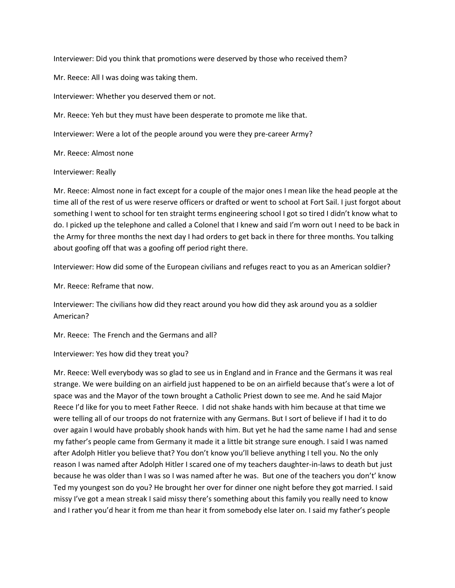Interviewer: Did you think that promotions were deserved by those who received them?

Mr. Reece: All I was doing was taking them.

Interviewer: Whether you deserved them or not.

Mr. Reece: Yeh but they must have been desperate to promote me like that.

Interviewer: Were a lot of the people around you were they pre-career Army?

Mr. Reece: Almost none

## Interviewer: Really

Mr. Reece: Almost none in fact except for a couple of the major ones I mean like the head people at the time all of the rest of us were reserve officers or drafted or went to school at Fort Sail. I just forgot about something I went to school for ten straight terms engineering school I got so tired I didn't know what to do. I picked up the telephone and called a Colonel that I knew and said I'm worn out I need to be back in the Army for three months the next day I had orders to get back in there for three months. You talking about goofing off that was a goofing off period right there.

Interviewer: How did some of the European civilians and refuges react to you as an American soldier?

Mr. Reece: Reframe that now.

Interviewer: The civilians how did they react around you how did they ask around you as a soldier American?

Mr. Reece: The French and the Germans and all?

Interviewer: Yes how did they treat you?

Mr. Reece: Well everybody was so glad to see us in England and in France and the Germans it was real strange. We were building on an airfield just happened to be on an airfield because that's were a lot of space was and the Mayor of the town brought a Catholic Priest down to see me. And he said Major Reece I'd like for you to meet Father Reece. I did not shake hands with him because at that time we were telling all of our troops do not fraternize with any Germans. But I sort of believe if I had it to do over again I would have probably shook hands with him. But yet he had the same name I had and sense my father's people came from Germany it made it a little bit strange sure enough. I said I was named after Adolph Hitler you believe that? You don't know you'll believe anything I tell you. No the only reason I was named after Adolph Hitler I scared one of my teachers daughter-in-laws to death but just because he was older than I was so I was named after he was. But one of the teachers you don't' know Ted my youngest son do you? He brought her over for dinner one night before they got married. I said missy I've got a mean streak I said missy there's something about this family you really need to know and I rather you'd hear it from me than hear it from somebody else later on. I said my father's people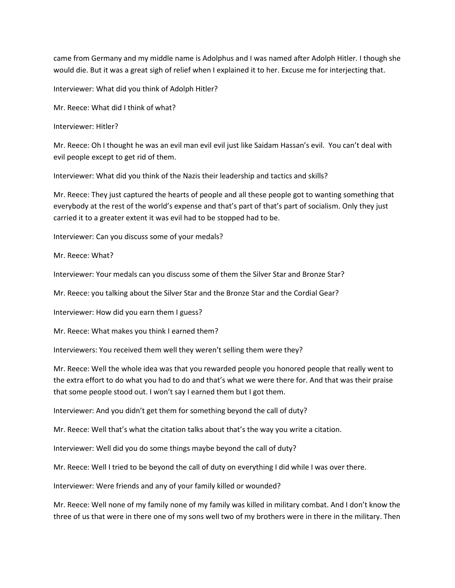came from Germany and my middle name is Adolphus and I was named after Adolph Hitler. I though she would die. But it was a great sigh of relief when I explained it to her. Excuse me for interjecting that.

Interviewer: What did you think of Adolph Hitler?

Mr. Reece: What did I think of what?

Interviewer: Hitler?

Mr. Reece: Oh I thought he was an evil man evil evil just like Saidam Hassan's evil. You can't deal with evil people except to get rid of them.

Interviewer: What did you think of the Nazis their leadership and tactics and skills?

Mr. Reece: They just captured the hearts of people and all these people got to wanting something that everybody at the rest of the world's expense and that's part of that's part of socialism. Only they just carried it to a greater extent it was evil had to be stopped had to be.

Interviewer: Can you discuss some of your medals?

Mr. Reece: What?

Interviewer: Your medals can you discuss some of them the Silver Star and Bronze Star?

Mr. Reece: you talking about the Silver Star and the Bronze Star and the Cordial Gear?

Interviewer: How did you earn them I guess?

Mr. Reece: What makes you think I earned them?

Interviewers: You received them well they weren't selling them were they?

Mr. Reece: Well the whole idea was that you rewarded people you honored people that really went to the extra effort to do what you had to do and that's what we were there for. And that was their praise that some people stood out. I won't say I earned them but I got them.

Interviewer: And you didn't get them for something beyond the call of duty?

Mr. Reece: Well that's what the citation talks about that's the way you write a citation.

Interviewer: Well did you do some things maybe beyond the call of duty?

Mr. Reece: Well I tried to be beyond the call of duty on everything I did while I was over there.

Interviewer: Were friends and any of your family killed or wounded?

Mr. Reece: Well none of my family none of my family was killed in military combat. And I don't know the three of us that were in there one of my sons well two of my brothers were in there in the military. Then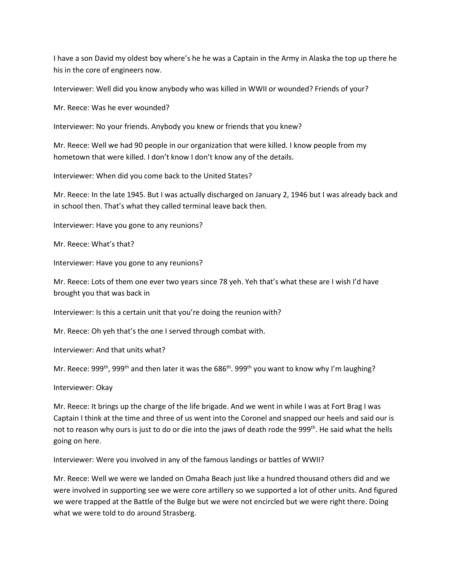I have a son David my oldest boy where's he he was a Captain in the Army in Alaska the top up there he his in the core of engineers now.

Interviewer: Well did you know anybody who was killed in WWII or wounded? Friends of your?

Mr. Reece: Was he ever wounded?

Interviewer: No your friends. Anybody you knew or friends that you knew?

Mr. Reece: Well we had 90 people in our organization that were killed. I know people from my hometown that were killed. I don't know I don't know any of the details.

Interviewer: When did you come back to the United States?

Mr. Reece: In the late 1945. But I was actually discharged on January 2, 1946 but I was already back and in school then. That's what they called terminal leave back then.

Interviewer: Have you gone to any reunions?

Mr. Reece: What's that?

Interviewer: Have you gone to any reunions?

Mr. Reece: Lots of them one ever two years since 78 yeh. Yeh that's what these are I wish I'd have brought you that was back in

Interviewer: Is this a certain unit that you're doing the reunion with?

Mr. Reece: Oh yeh that's the one I served through combat with.

Interviewer: And that units what?

Mr. Reece: 999<sup>th</sup>, 999<sup>th</sup> and then later it was the 686<sup>th</sup>. 999<sup>th</sup> you want to know why I'm laughing?

Interviewer: Okay

Mr. Reece: It brings up the charge of the life brigade. And we went in while I was at Fort Brag I was Captain I think at the time and three of us went into the Coronel and snapped our heels and said our is not to reason why ours is just to do or die into the jaws of death rode the 999<sup>th</sup>. He said what the hells going on here.

Interviewer: Were you involved in any of the famous landings or battles of WWII?

Mr. Reece: Well we were we landed on Omaha Beach just like a hundred thousand others did and we were involved in supporting see we were core artillery so we supported a lot of other units. And figured we were trapped at the Battle of the Bulge but we were not encircled but we were right there. Doing what we were told to do around Strasberg.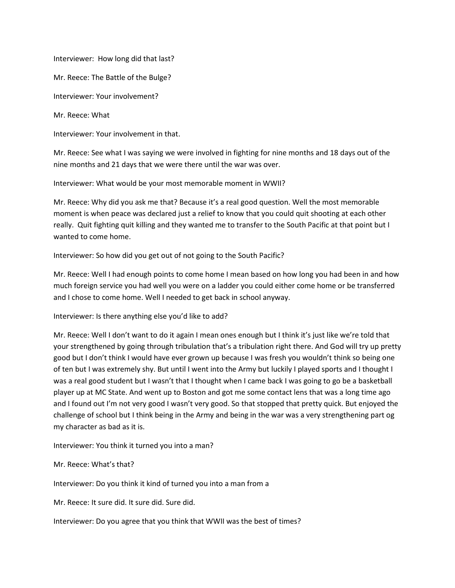Interviewer: How long did that last?

Mr. Reece: The Battle of the Bulge?

Interviewer: Your involvement?

Mr. Reece: What

Interviewer: Your involvement in that.

Mr. Reece: See what I was saying we were involved in fighting for nine months and 18 days out of the nine months and 21 days that we were there until the war was over.

Interviewer: What would be your most memorable moment in WWII?

Mr. Reece: Why did you ask me that? Because it's a real good question. Well the most memorable moment is when peace was declared just a relief to know that you could quit shooting at each other really. Quit fighting quit killing and they wanted me to transfer to the South Pacific at that point but I wanted to come home.

Interviewer: So how did you get out of not going to the South Pacific?

Mr. Reece: Well I had enough points to come home I mean based on how long you had been in and how much foreign service you had well you were on a ladder you could either come home or be transferred and I chose to come home. Well I needed to get back in school anyway.

Interviewer: Is there anything else you'd like to add?

Mr. Reece: Well I don't want to do it again I mean ones enough but I think it's just like we're told that your strengthened by going through tribulation that's a tribulation right there. And God will try up pretty good but I don't think I would have ever grown up because I was fresh you wouldn't think so being one of ten but I was extremely shy. But until I went into the Army but luckily I played sports and I thought I was a real good student but I wasn't that I thought when I came back I was going to go be a basketball player up at MC State. And went up to Boston and got me some contact lens that was a long time ago and I found out I'm not very good I wasn't very good. So that stopped that pretty quick. But enjoyed the challenge of school but I think being in the Army and being in the war was a very strengthening part og my character as bad as it is.

Interviewer: You think it turned you into a man?

Mr. Reece: What's that?

Interviewer: Do you think it kind of turned you into a man from a

Mr. Reece: It sure did. It sure did. Sure did.

Interviewer: Do you agree that you think that WWII was the best of times?